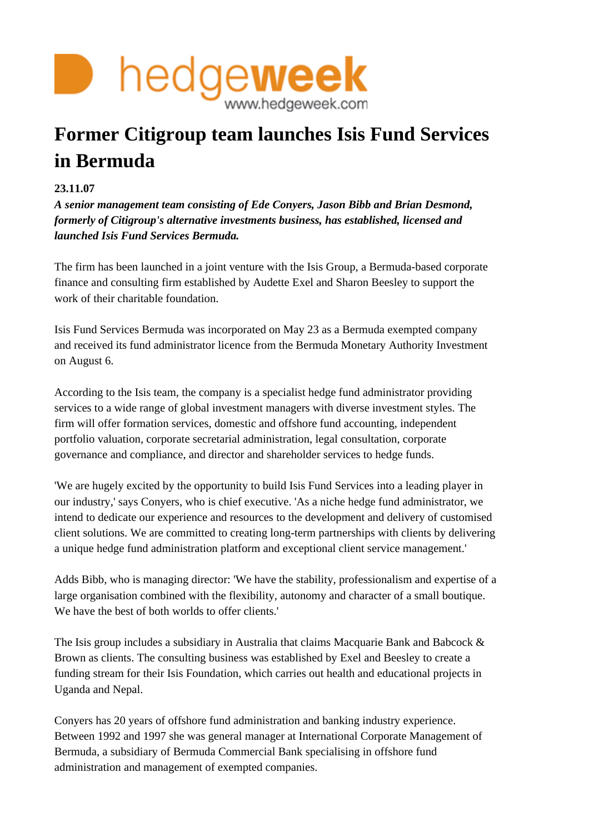

## **Former Citigroup team launches Isis Fund Services in Bermuda**

## **23.11.07**

*A senior management team consisting of Ede Conyers, Jason Bibb and Brian Desmond, formerly of Citigroup's alternative investments business, has established, licensed and launched Isis Fund Services Bermuda.*

The firm has been launched in a joint venture with the Isis Group, a Bermuda-based corporate finance and consulting firm established by Audette Exel and Sharon Beesley to support the work of their charitable foundation.

Isis Fund Services Bermuda was incorporated on May 23 as a Bermuda exempted company and received its fund administrator licence from the Bermuda Monetary Authority Investment on August 6.

According to the Isis team, the company is a specialist hedge fund administrator providing services to a wide range of global investment managers with diverse investment styles. The firm will offer formation services, domestic and offshore fund accounting, independent portfolio valuation, corporate secretarial administration, legal consultation, corporate governance and compliance, and director and shareholder services to hedge funds.

'We are hugely excited by the opportunity to build Isis Fund Services into a leading player in our industry,' says Conyers, who is chief executive. 'As a niche hedge fund administrator, we intend to dedicate our experience and resources to the development and delivery of customised client solutions. We are committed to creating long-term partnerships with clients by delivering a unique hedge fund administration platform and exceptional client service management.'

Adds Bibb, who is managing director: 'We have the stability, professionalism and expertise of a large organisation combined with the flexibility, autonomy and character of a small boutique. We have the best of both worlds to offer clients.'

The Isis group includes a subsidiary in Australia that claims Macquarie Bank and Babcock & Brown as clients. The consulting business was established by Exel and Beesley to create a funding stream for their Isis Foundation, which carries out health and educational projects in Uganda and Nepal.

Conyers has 20 years of offshore fund administration and banking industry experience. Between 1992 and 1997 she was general manager at International Corporate Management of Bermuda, a subsidiary of Bermuda Commercial Bank specialising in offshore fund administration and management of exempted companies.